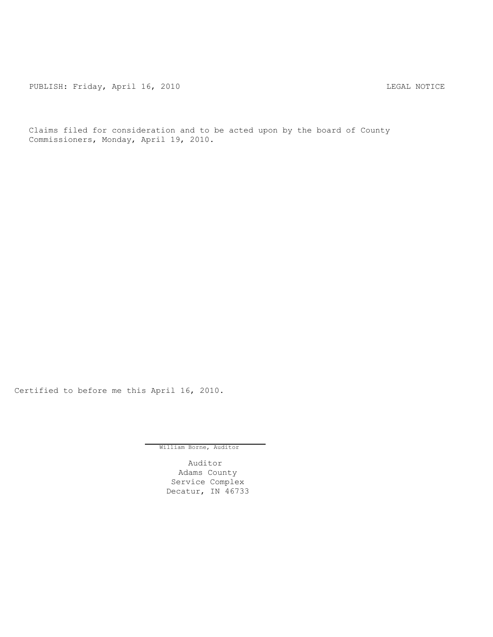PUBLISH: Friday, April 16, 2010 CHA CHANGE CONTROLLY AND THE LEGAL NOTICE

Claims filed for consideration and to be acted upon by the board of County Commissioners, Monday, April 19, 2010.

Certified to before me this April 16, 2010.

William Borne, Auditor

Auditor Adams County Service Complex Decatur, IN 46733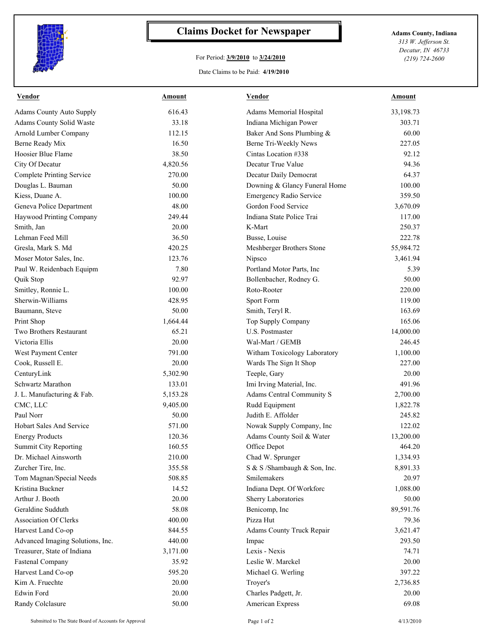

## **Claims Docket for Newspaper Adams County, Indiana**

## For Period: **3/9/2010** to **3/24/2010**

*313 W. Jefferson St. Decatur, IN 46733 (219) 724-2600*

## Date Claims to be Paid: **4/19/2010**

| 616.43<br>33,198.73<br><b>Adams County Auto Supply</b><br>Adams Memorial Hospital<br>Adams County Solid Waste<br>33.18<br>Indiana Michigan Power<br>303.71<br>Arnold Lumber Company<br>Baker And Sons Plumbing &<br>60.00<br>112.15<br>Berne Ready Mix<br>16.50<br>227.05<br>Berne Tri-Weekly News<br>Hoosier Blue Flame<br>38.50<br>Cintas Location #338<br>92.12<br>4,820.56<br>Decatur True Value<br>94.36<br>City Of Decatur<br>64.37<br><b>Complete Printing Service</b><br>270.00<br>Decatur Daily Democrat<br>Douglas L. Bauman<br>Downing & Glancy Funeral Home<br>100.00<br>50.00<br>Kiess, Duane A.<br>359.50<br>100.00<br><b>Emergency Radio Service</b><br>48.00<br>Gordon Food Service<br>Geneva Police Department<br>3,670.09<br>249.44<br>117.00<br>Haywood Printing Company<br>Indiana State Police Trai<br>Smith, Jan<br>20.00<br>K-Mart<br>250.37<br>Lehman Feed Mill<br>36.50<br>222.78<br>Busse, Louise<br>420.25<br>55,984.72<br>Gresla, Mark S. Md<br>Meshberger Brothers Stone<br>123.76<br>Moser Motor Sales, Inc.<br>Nipsco<br>3,461.94<br>7.80<br>Paul W. Reidenbach Equipm<br>Portland Motor Parts, Inc.<br>5.39<br>92.97<br>50.00<br>Quik Stop<br>Bollenbacher, Rodney G.<br>Roto-Rooter<br>Smitley, Ronnie L.<br>100.00<br>220.00<br>Sherwin-Williams<br>428.95<br>Sport Form<br>119.00<br>50.00<br>163.69<br>Baumann, Steve<br>Smith, Teryl R.<br>165.06<br>Print Shop<br>1,664.44<br>Top Supply Company<br>Two Brothers Restaurant<br>65.21<br>U.S. Postmaster<br>14,000.00<br>Victoria Ellis<br>20.00<br>246.45<br>Wal-Mart / GEMB<br>791.00<br>Witham Toxicology Laboratory<br>West Payment Center<br>1,100.00<br>Cook, Russell E.<br>20.00<br>Wards The Sign It Shop<br>227.00<br>CenturyLink<br>20.00<br>5,302.90<br>Teeple, Gary<br>Schwartz Marathon<br>133.01<br>Imi Irving Material, Inc.<br>491.96<br>Adams Central Community S<br>2,700.00<br>J. L. Manufacturing & Fab.<br>5,153.28<br>CMC, LLC<br>9,405.00<br>Rudd Equipment<br>1,822.78<br>Paul Norr<br>Judith E. Affolder<br>50.00<br>245.82<br>Hobart Sales And Service<br>122.02<br>571.00<br>Nowak Supply Company, Inc<br>120.36<br>Adams County Soil & Water<br>13,200.00<br><b>Energy Products</b><br>160.55<br><b>Summit City Reporting</b><br>464.20<br>Office Depot<br>Dr. Michael Ainsworth<br>Chad W. Sprunger<br>1,334.93<br>210.00<br>Zurcher Tire, Inc.<br>355.58<br>S & S /Shambaugh & Son, Inc.<br>8,891.33<br>Tom Magnan/Special Needs<br>508.85<br>Smilemakers<br>20.97<br>Kristina Buckner<br>14.52<br>Indiana Dept. Of Workforc<br>1,088.00<br>Arthur J. Booth<br>20.00<br>Sherry Laboratories<br>50.00<br>Geraldine Sudduth<br>58.08<br>Benicomp, Inc<br>89,591.76<br>Pizza Hut<br><b>Association Of Clerks</b><br>400.00<br>79.36<br>Harvest Land Co-op<br>844.55<br>3,621.47<br>Adams County Truck Repair<br>Advanced Imaging Solutions, Inc.<br>440.00<br>293.50<br>Impac<br>Treasurer, State of Indiana<br>3,171.00<br>Lexis - Nexis<br>74.71<br>20.00<br><b>Fastenal Company</b><br>35.92<br>Leslie W. Marckel<br>Harvest Land Co-op<br>595.20<br>397.22<br>Michael G. Werling<br>Kim A. Fruechte<br>20.00<br>2,736.85<br>Troyer's<br>Edwin Ford<br>20.00<br>Charles Padgett, Jr.<br>20.00<br>Randy Colclasure<br>50.00<br>American Express<br>69.08 | <b>Vendor</b> | Amount | Vendor | Amount |
|----------------------------------------------------------------------------------------------------------------------------------------------------------------------------------------------------------------------------------------------------------------------------------------------------------------------------------------------------------------------------------------------------------------------------------------------------------------------------------------------------------------------------------------------------------------------------------------------------------------------------------------------------------------------------------------------------------------------------------------------------------------------------------------------------------------------------------------------------------------------------------------------------------------------------------------------------------------------------------------------------------------------------------------------------------------------------------------------------------------------------------------------------------------------------------------------------------------------------------------------------------------------------------------------------------------------------------------------------------------------------------------------------------------------------------------------------------------------------------------------------------------------------------------------------------------------------------------------------------------------------------------------------------------------------------------------------------------------------------------------------------------------------------------------------------------------------------------------------------------------------------------------------------------------------------------------------------------------------------------------------------------------------------------------------------------------------------------------------------------------------------------------------------------------------------------------------------------------------------------------------------------------------------------------------------------------------------------------------------------------------------------------------------------------------------------------------------------------------------------------------------------------------------------------------------------------------------------------------------------------------------------------------------------------------------------------------------------------------------------------------------------------------------------------------------------------------------------------------------------------------------------------------------------------------------------------------------------------------------------------------------------------------------------------------------------------------------------------------------------------------------------------------------------------------------------------------------------------------------------------------------------------------|---------------|--------|--------|--------|
|                                                                                                                                                                                                                                                                                                                                                                                                                                                                                                                                                                                                                                                                                                                                                                                                                                                                                                                                                                                                                                                                                                                                                                                                                                                                                                                                                                                                                                                                                                                                                                                                                                                                                                                                                                                                                                                                                                                                                                                                                                                                                                                                                                                                                                                                                                                                                                                                                                                                                                                                                                                                                                                                                                                                                                                                                                                                                                                                                                                                                                                                                                                                                                                                                                                                            |               |        |        |        |
|                                                                                                                                                                                                                                                                                                                                                                                                                                                                                                                                                                                                                                                                                                                                                                                                                                                                                                                                                                                                                                                                                                                                                                                                                                                                                                                                                                                                                                                                                                                                                                                                                                                                                                                                                                                                                                                                                                                                                                                                                                                                                                                                                                                                                                                                                                                                                                                                                                                                                                                                                                                                                                                                                                                                                                                                                                                                                                                                                                                                                                                                                                                                                                                                                                                                            |               |        |        |        |
|                                                                                                                                                                                                                                                                                                                                                                                                                                                                                                                                                                                                                                                                                                                                                                                                                                                                                                                                                                                                                                                                                                                                                                                                                                                                                                                                                                                                                                                                                                                                                                                                                                                                                                                                                                                                                                                                                                                                                                                                                                                                                                                                                                                                                                                                                                                                                                                                                                                                                                                                                                                                                                                                                                                                                                                                                                                                                                                                                                                                                                                                                                                                                                                                                                                                            |               |        |        |        |
|                                                                                                                                                                                                                                                                                                                                                                                                                                                                                                                                                                                                                                                                                                                                                                                                                                                                                                                                                                                                                                                                                                                                                                                                                                                                                                                                                                                                                                                                                                                                                                                                                                                                                                                                                                                                                                                                                                                                                                                                                                                                                                                                                                                                                                                                                                                                                                                                                                                                                                                                                                                                                                                                                                                                                                                                                                                                                                                                                                                                                                                                                                                                                                                                                                                                            |               |        |        |        |
|                                                                                                                                                                                                                                                                                                                                                                                                                                                                                                                                                                                                                                                                                                                                                                                                                                                                                                                                                                                                                                                                                                                                                                                                                                                                                                                                                                                                                                                                                                                                                                                                                                                                                                                                                                                                                                                                                                                                                                                                                                                                                                                                                                                                                                                                                                                                                                                                                                                                                                                                                                                                                                                                                                                                                                                                                                                                                                                                                                                                                                                                                                                                                                                                                                                                            |               |        |        |        |
|                                                                                                                                                                                                                                                                                                                                                                                                                                                                                                                                                                                                                                                                                                                                                                                                                                                                                                                                                                                                                                                                                                                                                                                                                                                                                                                                                                                                                                                                                                                                                                                                                                                                                                                                                                                                                                                                                                                                                                                                                                                                                                                                                                                                                                                                                                                                                                                                                                                                                                                                                                                                                                                                                                                                                                                                                                                                                                                                                                                                                                                                                                                                                                                                                                                                            |               |        |        |        |
|                                                                                                                                                                                                                                                                                                                                                                                                                                                                                                                                                                                                                                                                                                                                                                                                                                                                                                                                                                                                                                                                                                                                                                                                                                                                                                                                                                                                                                                                                                                                                                                                                                                                                                                                                                                                                                                                                                                                                                                                                                                                                                                                                                                                                                                                                                                                                                                                                                                                                                                                                                                                                                                                                                                                                                                                                                                                                                                                                                                                                                                                                                                                                                                                                                                                            |               |        |        |        |
|                                                                                                                                                                                                                                                                                                                                                                                                                                                                                                                                                                                                                                                                                                                                                                                                                                                                                                                                                                                                                                                                                                                                                                                                                                                                                                                                                                                                                                                                                                                                                                                                                                                                                                                                                                                                                                                                                                                                                                                                                                                                                                                                                                                                                                                                                                                                                                                                                                                                                                                                                                                                                                                                                                                                                                                                                                                                                                                                                                                                                                                                                                                                                                                                                                                                            |               |        |        |        |
|                                                                                                                                                                                                                                                                                                                                                                                                                                                                                                                                                                                                                                                                                                                                                                                                                                                                                                                                                                                                                                                                                                                                                                                                                                                                                                                                                                                                                                                                                                                                                                                                                                                                                                                                                                                                                                                                                                                                                                                                                                                                                                                                                                                                                                                                                                                                                                                                                                                                                                                                                                                                                                                                                                                                                                                                                                                                                                                                                                                                                                                                                                                                                                                                                                                                            |               |        |        |        |
|                                                                                                                                                                                                                                                                                                                                                                                                                                                                                                                                                                                                                                                                                                                                                                                                                                                                                                                                                                                                                                                                                                                                                                                                                                                                                                                                                                                                                                                                                                                                                                                                                                                                                                                                                                                                                                                                                                                                                                                                                                                                                                                                                                                                                                                                                                                                                                                                                                                                                                                                                                                                                                                                                                                                                                                                                                                                                                                                                                                                                                                                                                                                                                                                                                                                            |               |        |        |        |
|                                                                                                                                                                                                                                                                                                                                                                                                                                                                                                                                                                                                                                                                                                                                                                                                                                                                                                                                                                                                                                                                                                                                                                                                                                                                                                                                                                                                                                                                                                                                                                                                                                                                                                                                                                                                                                                                                                                                                                                                                                                                                                                                                                                                                                                                                                                                                                                                                                                                                                                                                                                                                                                                                                                                                                                                                                                                                                                                                                                                                                                                                                                                                                                                                                                                            |               |        |        |        |
|                                                                                                                                                                                                                                                                                                                                                                                                                                                                                                                                                                                                                                                                                                                                                                                                                                                                                                                                                                                                                                                                                                                                                                                                                                                                                                                                                                                                                                                                                                                                                                                                                                                                                                                                                                                                                                                                                                                                                                                                                                                                                                                                                                                                                                                                                                                                                                                                                                                                                                                                                                                                                                                                                                                                                                                                                                                                                                                                                                                                                                                                                                                                                                                                                                                                            |               |        |        |        |
|                                                                                                                                                                                                                                                                                                                                                                                                                                                                                                                                                                                                                                                                                                                                                                                                                                                                                                                                                                                                                                                                                                                                                                                                                                                                                                                                                                                                                                                                                                                                                                                                                                                                                                                                                                                                                                                                                                                                                                                                                                                                                                                                                                                                                                                                                                                                                                                                                                                                                                                                                                                                                                                                                                                                                                                                                                                                                                                                                                                                                                                                                                                                                                                                                                                                            |               |        |        |        |
|                                                                                                                                                                                                                                                                                                                                                                                                                                                                                                                                                                                                                                                                                                                                                                                                                                                                                                                                                                                                                                                                                                                                                                                                                                                                                                                                                                                                                                                                                                                                                                                                                                                                                                                                                                                                                                                                                                                                                                                                                                                                                                                                                                                                                                                                                                                                                                                                                                                                                                                                                                                                                                                                                                                                                                                                                                                                                                                                                                                                                                                                                                                                                                                                                                                                            |               |        |        |        |
|                                                                                                                                                                                                                                                                                                                                                                                                                                                                                                                                                                                                                                                                                                                                                                                                                                                                                                                                                                                                                                                                                                                                                                                                                                                                                                                                                                                                                                                                                                                                                                                                                                                                                                                                                                                                                                                                                                                                                                                                                                                                                                                                                                                                                                                                                                                                                                                                                                                                                                                                                                                                                                                                                                                                                                                                                                                                                                                                                                                                                                                                                                                                                                                                                                                                            |               |        |        |        |
|                                                                                                                                                                                                                                                                                                                                                                                                                                                                                                                                                                                                                                                                                                                                                                                                                                                                                                                                                                                                                                                                                                                                                                                                                                                                                                                                                                                                                                                                                                                                                                                                                                                                                                                                                                                                                                                                                                                                                                                                                                                                                                                                                                                                                                                                                                                                                                                                                                                                                                                                                                                                                                                                                                                                                                                                                                                                                                                                                                                                                                                                                                                                                                                                                                                                            |               |        |        |        |
|                                                                                                                                                                                                                                                                                                                                                                                                                                                                                                                                                                                                                                                                                                                                                                                                                                                                                                                                                                                                                                                                                                                                                                                                                                                                                                                                                                                                                                                                                                                                                                                                                                                                                                                                                                                                                                                                                                                                                                                                                                                                                                                                                                                                                                                                                                                                                                                                                                                                                                                                                                                                                                                                                                                                                                                                                                                                                                                                                                                                                                                                                                                                                                                                                                                                            |               |        |        |        |
|                                                                                                                                                                                                                                                                                                                                                                                                                                                                                                                                                                                                                                                                                                                                                                                                                                                                                                                                                                                                                                                                                                                                                                                                                                                                                                                                                                                                                                                                                                                                                                                                                                                                                                                                                                                                                                                                                                                                                                                                                                                                                                                                                                                                                                                                                                                                                                                                                                                                                                                                                                                                                                                                                                                                                                                                                                                                                                                                                                                                                                                                                                                                                                                                                                                                            |               |        |        |        |
|                                                                                                                                                                                                                                                                                                                                                                                                                                                                                                                                                                                                                                                                                                                                                                                                                                                                                                                                                                                                                                                                                                                                                                                                                                                                                                                                                                                                                                                                                                                                                                                                                                                                                                                                                                                                                                                                                                                                                                                                                                                                                                                                                                                                                                                                                                                                                                                                                                                                                                                                                                                                                                                                                                                                                                                                                                                                                                                                                                                                                                                                                                                                                                                                                                                                            |               |        |        |        |
|                                                                                                                                                                                                                                                                                                                                                                                                                                                                                                                                                                                                                                                                                                                                                                                                                                                                                                                                                                                                                                                                                                                                                                                                                                                                                                                                                                                                                                                                                                                                                                                                                                                                                                                                                                                                                                                                                                                                                                                                                                                                                                                                                                                                                                                                                                                                                                                                                                                                                                                                                                                                                                                                                                                                                                                                                                                                                                                                                                                                                                                                                                                                                                                                                                                                            |               |        |        |        |
|                                                                                                                                                                                                                                                                                                                                                                                                                                                                                                                                                                                                                                                                                                                                                                                                                                                                                                                                                                                                                                                                                                                                                                                                                                                                                                                                                                                                                                                                                                                                                                                                                                                                                                                                                                                                                                                                                                                                                                                                                                                                                                                                                                                                                                                                                                                                                                                                                                                                                                                                                                                                                                                                                                                                                                                                                                                                                                                                                                                                                                                                                                                                                                                                                                                                            |               |        |        |        |
|                                                                                                                                                                                                                                                                                                                                                                                                                                                                                                                                                                                                                                                                                                                                                                                                                                                                                                                                                                                                                                                                                                                                                                                                                                                                                                                                                                                                                                                                                                                                                                                                                                                                                                                                                                                                                                                                                                                                                                                                                                                                                                                                                                                                                                                                                                                                                                                                                                                                                                                                                                                                                                                                                                                                                                                                                                                                                                                                                                                                                                                                                                                                                                                                                                                                            |               |        |        |        |
|                                                                                                                                                                                                                                                                                                                                                                                                                                                                                                                                                                                                                                                                                                                                                                                                                                                                                                                                                                                                                                                                                                                                                                                                                                                                                                                                                                                                                                                                                                                                                                                                                                                                                                                                                                                                                                                                                                                                                                                                                                                                                                                                                                                                                                                                                                                                                                                                                                                                                                                                                                                                                                                                                                                                                                                                                                                                                                                                                                                                                                                                                                                                                                                                                                                                            |               |        |        |        |
|                                                                                                                                                                                                                                                                                                                                                                                                                                                                                                                                                                                                                                                                                                                                                                                                                                                                                                                                                                                                                                                                                                                                                                                                                                                                                                                                                                                                                                                                                                                                                                                                                                                                                                                                                                                                                                                                                                                                                                                                                                                                                                                                                                                                                                                                                                                                                                                                                                                                                                                                                                                                                                                                                                                                                                                                                                                                                                                                                                                                                                                                                                                                                                                                                                                                            |               |        |        |        |
|                                                                                                                                                                                                                                                                                                                                                                                                                                                                                                                                                                                                                                                                                                                                                                                                                                                                                                                                                                                                                                                                                                                                                                                                                                                                                                                                                                                                                                                                                                                                                                                                                                                                                                                                                                                                                                                                                                                                                                                                                                                                                                                                                                                                                                                                                                                                                                                                                                                                                                                                                                                                                                                                                                                                                                                                                                                                                                                                                                                                                                                                                                                                                                                                                                                                            |               |        |        |        |
|                                                                                                                                                                                                                                                                                                                                                                                                                                                                                                                                                                                                                                                                                                                                                                                                                                                                                                                                                                                                                                                                                                                                                                                                                                                                                                                                                                                                                                                                                                                                                                                                                                                                                                                                                                                                                                                                                                                                                                                                                                                                                                                                                                                                                                                                                                                                                                                                                                                                                                                                                                                                                                                                                                                                                                                                                                                                                                                                                                                                                                                                                                                                                                                                                                                                            |               |        |        |        |
|                                                                                                                                                                                                                                                                                                                                                                                                                                                                                                                                                                                                                                                                                                                                                                                                                                                                                                                                                                                                                                                                                                                                                                                                                                                                                                                                                                                                                                                                                                                                                                                                                                                                                                                                                                                                                                                                                                                                                                                                                                                                                                                                                                                                                                                                                                                                                                                                                                                                                                                                                                                                                                                                                                                                                                                                                                                                                                                                                                                                                                                                                                                                                                                                                                                                            |               |        |        |        |
|                                                                                                                                                                                                                                                                                                                                                                                                                                                                                                                                                                                                                                                                                                                                                                                                                                                                                                                                                                                                                                                                                                                                                                                                                                                                                                                                                                                                                                                                                                                                                                                                                                                                                                                                                                                                                                                                                                                                                                                                                                                                                                                                                                                                                                                                                                                                                                                                                                                                                                                                                                                                                                                                                                                                                                                                                                                                                                                                                                                                                                                                                                                                                                                                                                                                            |               |        |        |        |
|                                                                                                                                                                                                                                                                                                                                                                                                                                                                                                                                                                                                                                                                                                                                                                                                                                                                                                                                                                                                                                                                                                                                                                                                                                                                                                                                                                                                                                                                                                                                                                                                                                                                                                                                                                                                                                                                                                                                                                                                                                                                                                                                                                                                                                                                                                                                                                                                                                                                                                                                                                                                                                                                                                                                                                                                                                                                                                                                                                                                                                                                                                                                                                                                                                                                            |               |        |        |        |
|                                                                                                                                                                                                                                                                                                                                                                                                                                                                                                                                                                                                                                                                                                                                                                                                                                                                                                                                                                                                                                                                                                                                                                                                                                                                                                                                                                                                                                                                                                                                                                                                                                                                                                                                                                                                                                                                                                                                                                                                                                                                                                                                                                                                                                                                                                                                                                                                                                                                                                                                                                                                                                                                                                                                                                                                                                                                                                                                                                                                                                                                                                                                                                                                                                                                            |               |        |        |        |
|                                                                                                                                                                                                                                                                                                                                                                                                                                                                                                                                                                                                                                                                                                                                                                                                                                                                                                                                                                                                                                                                                                                                                                                                                                                                                                                                                                                                                                                                                                                                                                                                                                                                                                                                                                                                                                                                                                                                                                                                                                                                                                                                                                                                                                                                                                                                                                                                                                                                                                                                                                                                                                                                                                                                                                                                                                                                                                                                                                                                                                                                                                                                                                                                                                                                            |               |        |        |        |
|                                                                                                                                                                                                                                                                                                                                                                                                                                                                                                                                                                                                                                                                                                                                                                                                                                                                                                                                                                                                                                                                                                                                                                                                                                                                                                                                                                                                                                                                                                                                                                                                                                                                                                                                                                                                                                                                                                                                                                                                                                                                                                                                                                                                                                                                                                                                                                                                                                                                                                                                                                                                                                                                                                                                                                                                                                                                                                                                                                                                                                                                                                                                                                                                                                                                            |               |        |        |        |
|                                                                                                                                                                                                                                                                                                                                                                                                                                                                                                                                                                                                                                                                                                                                                                                                                                                                                                                                                                                                                                                                                                                                                                                                                                                                                                                                                                                                                                                                                                                                                                                                                                                                                                                                                                                                                                                                                                                                                                                                                                                                                                                                                                                                                                                                                                                                                                                                                                                                                                                                                                                                                                                                                                                                                                                                                                                                                                                                                                                                                                                                                                                                                                                                                                                                            |               |        |        |        |
|                                                                                                                                                                                                                                                                                                                                                                                                                                                                                                                                                                                                                                                                                                                                                                                                                                                                                                                                                                                                                                                                                                                                                                                                                                                                                                                                                                                                                                                                                                                                                                                                                                                                                                                                                                                                                                                                                                                                                                                                                                                                                                                                                                                                                                                                                                                                                                                                                                                                                                                                                                                                                                                                                                                                                                                                                                                                                                                                                                                                                                                                                                                                                                                                                                                                            |               |        |        |        |
|                                                                                                                                                                                                                                                                                                                                                                                                                                                                                                                                                                                                                                                                                                                                                                                                                                                                                                                                                                                                                                                                                                                                                                                                                                                                                                                                                                                                                                                                                                                                                                                                                                                                                                                                                                                                                                                                                                                                                                                                                                                                                                                                                                                                                                                                                                                                                                                                                                                                                                                                                                                                                                                                                                                                                                                                                                                                                                                                                                                                                                                                                                                                                                                                                                                                            |               |        |        |        |
|                                                                                                                                                                                                                                                                                                                                                                                                                                                                                                                                                                                                                                                                                                                                                                                                                                                                                                                                                                                                                                                                                                                                                                                                                                                                                                                                                                                                                                                                                                                                                                                                                                                                                                                                                                                                                                                                                                                                                                                                                                                                                                                                                                                                                                                                                                                                                                                                                                                                                                                                                                                                                                                                                                                                                                                                                                                                                                                                                                                                                                                                                                                                                                                                                                                                            |               |        |        |        |
|                                                                                                                                                                                                                                                                                                                                                                                                                                                                                                                                                                                                                                                                                                                                                                                                                                                                                                                                                                                                                                                                                                                                                                                                                                                                                                                                                                                                                                                                                                                                                                                                                                                                                                                                                                                                                                                                                                                                                                                                                                                                                                                                                                                                                                                                                                                                                                                                                                                                                                                                                                                                                                                                                                                                                                                                                                                                                                                                                                                                                                                                                                                                                                                                                                                                            |               |        |        |        |
|                                                                                                                                                                                                                                                                                                                                                                                                                                                                                                                                                                                                                                                                                                                                                                                                                                                                                                                                                                                                                                                                                                                                                                                                                                                                                                                                                                                                                                                                                                                                                                                                                                                                                                                                                                                                                                                                                                                                                                                                                                                                                                                                                                                                                                                                                                                                                                                                                                                                                                                                                                                                                                                                                                                                                                                                                                                                                                                                                                                                                                                                                                                                                                                                                                                                            |               |        |        |        |
|                                                                                                                                                                                                                                                                                                                                                                                                                                                                                                                                                                                                                                                                                                                                                                                                                                                                                                                                                                                                                                                                                                                                                                                                                                                                                                                                                                                                                                                                                                                                                                                                                                                                                                                                                                                                                                                                                                                                                                                                                                                                                                                                                                                                                                                                                                                                                                                                                                                                                                                                                                                                                                                                                                                                                                                                                                                                                                                                                                                                                                                                                                                                                                                                                                                                            |               |        |        |        |
|                                                                                                                                                                                                                                                                                                                                                                                                                                                                                                                                                                                                                                                                                                                                                                                                                                                                                                                                                                                                                                                                                                                                                                                                                                                                                                                                                                                                                                                                                                                                                                                                                                                                                                                                                                                                                                                                                                                                                                                                                                                                                                                                                                                                                                                                                                                                                                                                                                                                                                                                                                                                                                                                                                                                                                                                                                                                                                                                                                                                                                                                                                                                                                                                                                                                            |               |        |        |        |
|                                                                                                                                                                                                                                                                                                                                                                                                                                                                                                                                                                                                                                                                                                                                                                                                                                                                                                                                                                                                                                                                                                                                                                                                                                                                                                                                                                                                                                                                                                                                                                                                                                                                                                                                                                                                                                                                                                                                                                                                                                                                                                                                                                                                                                                                                                                                                                                                                                                                                                                                                                                                                                                                                                                                                                                                                                                                                                                                                                                                                                                                                                                                                                                                                                                                            |               |        |        |        |
|                                                                                                                                                                                                                                                                                                                                                                                                                                                                                                                                                                                                                                                                                                                                                                                                                                                                                                                                                                                                                                                                                                                                                                                                                                                                                                                                                                                                                                                                                                                                                                                                                                                                                                                                                                                                                                                                                                                                                                                                                                                                                                                                                                                                                                                                                                                                                                                                                                                                                                                                                                                                                                                                                                                                                                                                                                                                                                                                                                                                                                                                                                                                                                                                                                                                            |               |        |        |        |
|                                                                                                                                                                                                                                                                                                                                                                                                                                                                                                                                                                                                                                                                                                                                                                                                                                                                                                                                                                                                                                                                                                                                                                                                                                                                                                                                                                                                                                                                                                                                                                                                                                                                                                                                                                                                                                                                                                                                                                                                                                                                                                                                                                                                                                                                                                                                                                                                                                                                                                                                                                                                                                                                                                                                                                                                                                                                                                                                                                                                                                                                                                                                                                                                                                                                            |               |        |        |        |
|                                                                                                                                                                                                                                                                                                                                                                                                                                                                                                                                                                                                                                                                                                                                                                                                                                                                                                                                                                                                                                                                                                                                                                                                                                                                                                                                                                                                                                                                                                                                                                                                                                                                                                                                                                                                                                                                                                                                                                                                                                                                                                                                                                                                                                                                                                                                                                                                                                                                                                                                                                                                                                                                                                                                                                                                                                                                                                                                                                                                                                                                                                                                                                                                                                                                            |               |        |        |        |
|                                                                                                                                                                                                                                                                                                                                                                                                                                                                                                                                                                                                                                                                                                                                                                                                                                                                                                                                                                                                                                                                                                                                                                                                                                                                                                                                                                                                                                                                                                                                                                                                                                                                                                                                                                                                                                                                                                                                                                                                                                                                                                                                                                                                                                                                                                                                                                                                                                                                                                                                                                                                                                                                                                                                                                                                                                                                                                                                                                                                                                                                                                                                                                                                                                                                            |               |        |        |        |
|                                                                                                                                                                                                                                                                                                                                                                                                                                                                                                                                                                                                                                                                                                                                                                                                                                                                                                                                                                                                                                                                                                                                                                                                                                                                                                                                                                                                                                                                                                                                                                                                                                                                                                                                                                                                                                                                                                                                                                                                                                                                                                                                                                                                                                                                                                                                                                                                                                                                                                                                                                                                                                                                                                                                                                                                                                                                                                                                                                                                                                                                                                                                                                                                                                                                            |               |        |        |        |
|                                                                                                                                                                                                                                                                                                                                                                                                                                                                                                                                                                                                                                                                                                                                                                                                                                                                                                                                                                                                                                                                                                                                                                                                                                                                                                                                                                                                                                                                                                                                                                                                                                                                                                                                                                                                                                                                                                                                                                                                                                                                                                                                                                                                                                                                                                                                                                                                                                                                                                                                                                                                                                                                                                                                                                                                                                                                                                                                                                                                                                                                                                                                                                                                                                                                            |               |        |        |        |
|                                                                                                                                                                                                                                                                                                                                                                                                                                                                                                                                                                                                                                                                                                                                                                                                                                                                                                                                                                                                                                                                                                                                                                                                                                                                                                                                                                                                                                                                                                                                                                                                                                                                                                                                                                                                                                                                                                                                                                                                                                                                                                                                                                                                                                                                                                                                                                                                                                                                                                                                                                                                                                                                                                                                                                                                                                                                                                                                                                                                                                                                                                                                                                                                                                                                            |               |        |        |        |